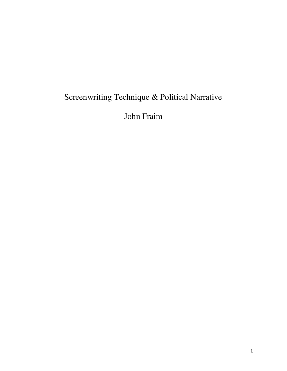# Screenwriting Technique & Political Narrative

John Fraim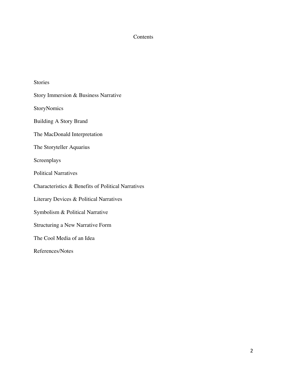# Contents

| <b>Stories</b>                                     |
|----------------------------------------------------|
| Story Immersion & Business Narrative               |
| StoryNomics                                        |
| <b>Building A Story Brand</b>                      |
| The MacDonald Interpretation                       |
| The Storyteller Aquarius                           |
| Screenplays                                        |
| <b>Political Narratives</b>                        |
| Characteristics & Benefits of Political Narratives |
| Literary Devices & Political Narratives            |
| Symbolism & Political Narrative                    |
| <b>Structuring a New Narrative Form</b>            |
| The Cool Media of an Idea                          |
| References/Notes                                   |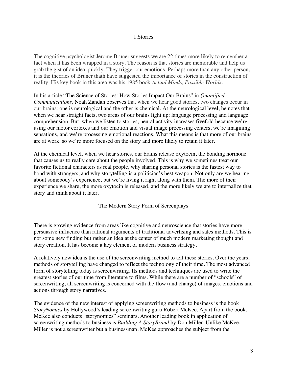#### 1.Stories

The cognitive psychologist Jerome Bruner suggests we are 22 times more likely to remember a fact when it has been wrapped in a story. The reason is that stories are memorable and help us grab the gist of an idea quickly. They trigger our emotions. Perhaps more than any other person, it is the theories of Bruner thath have suggested the importance of stories in the construction of reality. His key book in this area was his 1985 book *Actual Minds, Possible Worlds*.

# In his article "The Science of Stories: How Stories Impact Our Brains" in *Quantified Communications*, Noah Zandan observes that when we hear good stories, two changes occur in our brains: one is neurological and the other is chemical. At the neurological level, he notes that when we hear straight facts, two areas of our brains light up: language processing and language comprehension. But, when we listen to stories, neural activity increases fivefold because we're using our motor cortexes and our emotion and visual image processing centers, we're imagining sensations, and we're processing emotional reactions. What this means is that more of our brains are at work, so we're more focused on the story and more likely to retain it later.

At the chemical level, when we hear stories, our brains release oxytocin, the bonding hormone that causes us to really care about the people involved. This is why we sometimes treat our favorite fictional characters as real people, why sharing personal stories is the fastest way to bond with strangers, and why storytelling is a politician's best weapon. Not only are we hearing about somebody's experience, but we're living it right along with them. The more of their experience we share, the more oxytocin is released, and the more likely we are to internalize that story and think about it later.

#### The Modern Story Form of Screenplays

There is growing evidence from areas like cognitive and neuroscience that stories have more persuasive influence than rational arguments of traditional advertising and sales methods. This is not some new finding but rather an idea at the center of much modern marketing thought and story creation. It has become a key element of modern business strategy.

A relatively new idea is the use of the screenwriting method to tell these stories. Over the years, methods of storytelling have changed to reflect the technology of their time. The most advanced form of storytelling today is screenwriting. Its methods and techniques are used to write the greatest stories of our time from literature to films. While there are a number of "schools" of screenwriting, all screenwriting is concerned with the flow (and change) of images, emotions and actions through story narratives.

The evidence of the new interest of applying screenwriting methods to business is the book *StoryNomics* by Hollywood's leading screenwriting guru Robert McKee. Apart from the book, McKee also conducts "storynomics" seminars. Another leading book in application of screenwriting methods to business is *Building A StoryBrand* by Don Miller. Unlike McKee, Miller is not a screenwriter but a businessman. McKee approaches the subject from the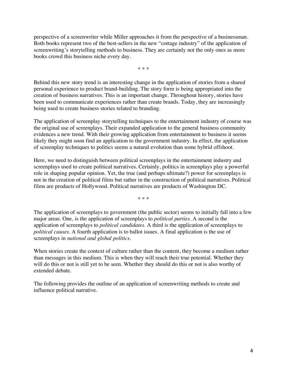perspective of a screenwriter while Miller approaches it from the perspective of a businessman. Both books represent two of the best-sellers in the new "cottage industry" of the application of screenwriting's storytelling methods to business. They are certainly not the only ones as more books crowd this business niche every day.

\* \* \*

Behind this new story trend is an interesting change in the application of stories from a shared personal experience to product brand-building. The story form is being appropriated into the creation of business narratives. This is an important change. Throughout history, stories have been used to communicate experiences rather than create brands. Today, they are increasingly being used to create business stories related to branding.

The application of screenplay storytelling techniques to the entertainment industry of course was the original use of screenplays. Their expanded application to the general business community evidences a new trend. With their growing application from entertainment to business it seems likely they might soon find an application to the government industry. In effect, the application of screenplay techniques to politics seems a natural evolution than some hybrid offshoot.

Here, we need to distinguish between political screenplays in the entertainment industry and screenplays used to create political narratives. Certainly, politics in screenplays play a powerful role in shaping popular opinion. Yet, the true (and perhaps ultimate?) power for screenplays is not in the creation of political films but rather in the construction of political narratives. Political films are products of Hollywood. Political narratives are products of Washington DC.

\* \* \*

The application of screenplays to government (the public sector) seems to initially fall into a few major areas. One, is the application of screenplays to *political parties*. A second is the application of screenplays to *political candidates*. A third is the application of screenplays to *political causes*. A fourth application is to ballot issues. A final application is the use of screenplays in *national and global politics*.

When stories create the context of culture rather than the content, they become a medium rather than messages in this medium. This is when they will reach their true potential. Whether they will do this or not is still yet to be seen. Whether they should do this or not is also worthy of extended debate.

The following provides the outline of an application of screenwriting methods to create and influence political narrative.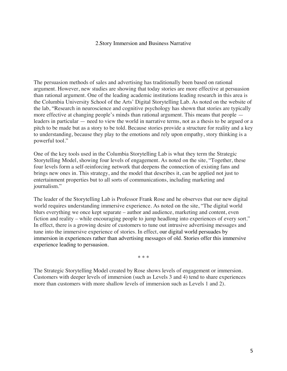#### 2.Story Immersion and Business Narrative

The persuasion methods of sales and advertising has traditionally been based on rational argument. However, new studies are showing that today stories are more effective at persuasion than rational argument. One of the leading academic institutions leading research in this area is the Columbia University School of the Arts' Digital Storytelling Lab. As noted on the website of the lab, "Research in neuroscience and cognitive psychology has shown that stories are typically more effective at changing people's minds than rational argument. This means that people leaders in particular — need to view the world in narrative terms, not as a thesis to be argued or a pitch to be made but as a story to be told. Because stories provide a structure for reality and a key to understanding, because they play to the emotions and rely upon empathy, story thinking is a powerful tool."

One of the key tools used in the Columbia Storytelling Lab is what they term the Strategic Storytelling Model, showing four levels of engagement. As noted on the site, "Together, these four levels form a self-reinforcing network that deepens the connection of existing fans and brings new ones in. This strategy, and the model that describes it, can be applied not just to entertainment properties but to all sorts of communications, including marketing and journalism."

The leader of the Storytelling Lab is Professor Frank Rose and he observes that our new digital world requires understanding immersive experience. As noted on the site, "The digital world blurs everything we once kept separate – author and audience, marketing and content, even fiction and reality – while encouraging people to jump headlong into experiences of every sort." In effect, there is a growing desire of customers to tune out intrusive advertising messages and tune into the immersive experience of stories. In effect, our digital world persuades by immersion in experiences rather than advertising messages of old. Stories offer this immersive experience leading to persuasion.

\* \* \*

The Strategic Storytelling Model created by Rose shows levels of engagement or immersion. Customers with deeper levels of immersion (such as Levels 3 and 4) tend to share experiences more than customers with more shallow levels of immersion such as Levels 1 and 2).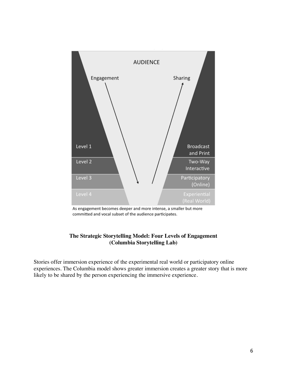

As engagement becomes deeper and more intense, a smaller but more committed and vocal subset of the audience participates.

# **The Strategic Storytelling Model: Four Levels of Engagement (Columbia Storytelling Lab)**

Stories offer immersion experience of the experimental real world or participatory online experiences. The Columbia model shows greater immersion creates a greater story that is more likely to be shared by the person experiencing the immersive experience.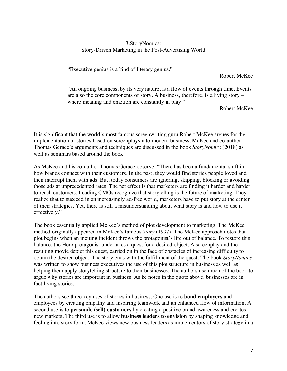## 3.StoryNomics: Story-Driven Marketing in the Post-Advertising World

"Executive genius is a kind of literary genius."

Robert McKee

"An ongoing business, by its very nature, is a flow of events through time. Events are also the core components of story. A business, therefore, is a living story – where meaning and emotion are constantly in play."

Robert McKee

It is significant that the world's most famous screenwriting guru Robert McKee argues for the implementation of stories based on screenplays into modern business. McKee and co-author Thomas Gerace's arguments and techniques are discussed in the book *StoryNomics* (2018) as well as seminars based around the book.

As McKee and his co-author Thomas Gerace observe, "There has been a fundamental shift in how brands connect with their customers. In the past, they would find stories people loved and then interrupt them with ads. But, today consumers are ignoring, skipping, blocking or avoiding those ads at unprecedented rates. The net effect is that marketers are finding it harder and harder to reach customers. Leading CMOs recognize that storytelling is the future of marketing. They realize that to succeed in an increasingly ad-free world, marketers have to put story at the center of their strategies. Yet, there is still a misunderstanding about what story is and how to use it effectively."

The book essentially applied McKee's method of plot development to marketing. The McKee method originally appeared in McKee's famous *Story* (1997). The McKee approach notes that plot begins when an inciting incident throws the protagonist's life out of balance. To restore this balance, the Hero protagonist undertakes a quest for a desired object. A screenplay and the resulting movie depict this quest, carried on in the face of obstacles of increasing difficulty to obtain the desired object. The story ends with the fulfillment of the quest. The book *StoryNomics* was written to show business executives the use of this plot structure in business as well as helping them apply storytelling structure to their businesses. The authors use much of the book to argue why stories are important in business. As he notes in the quote above, businesses are in fact living stories.

The authors see three key uses of stories in business. One use is to **bond employers** and employees by creating empathy and inspiring teamwork and an enhanced flow of information. A second use is to **persuade (sell) customers** by creating a positive brand awareness and creates new markets. The third use is to allow **business leaders to envision** by shaping knowledge and feeling into story form. McKee views new business leaders as implementors of story strategy in a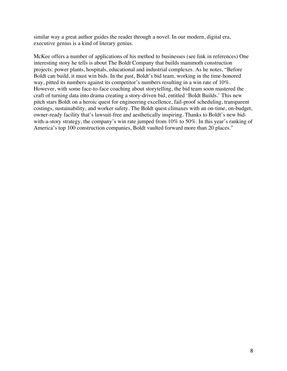similar way a great author guides the reader through a novel. In our modern, digital era, executive genius is a kind of literary genius.

McKee offers a number of applications of his method to businesses (see link in references) One interesting story he tells is about The Boldt Company that builds mammoth construction projects: power plants, hospitals, educational and industrial complexes. As he notes, "Before Boldt can build, it must win bids. In the past, Boldt's bid team, working in the time-honored way, pitted its numbers against its competitor's numbers resulting in a win rate of 10%. However, with some face-to-face coaching about storytelling, the bid team soon mastered the craft of turning data into drama creating a story-driven bid, entitled 'Boldt Builds.' This new pitch stars Boldt on a heroic quest for engineering excellence, fail-proof scheduling, transparent costings, sustainability, and worker safety. The Boldt quest climaxes with an on-time, on-budget, owner-ready facility that's lawsuit-free and aesthetically inspiring. Thanks to Boldt's new bidwith-a-story strategy, the company's win rate jumped from 10% to 50%. In this year's ranking of America's top 100 construction companies, Boldt vaulted forward more than 20 places."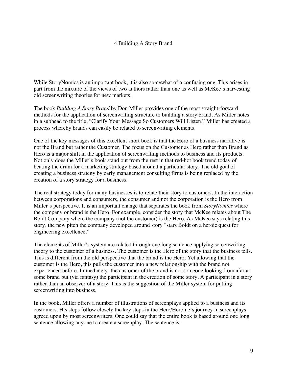# 4.Building A Story Brand

While StoryNomics is an important book, it is also somewhat of a confusing one. This arises in part from the mixture of the views of two authors rather than one as well as McKee's harvesting old screenwriting theories for new markets.

The book *Building A Story Brand* by Don Miller provides one of the most straight-forward methods for the application of screenwriting structure to building a story brand. As Miller notes in a subhead to the title, "Clarify Your Message So Customers Will Listen." Miller has created a process whereby brands can easily be related to screenwriting elements.

One of the key messages of this excellent short book is that the Hero of a business narrative is not the Brand but rather the Customer. The focus on the Customer as Hero rather than Brand as Hero is a major shift in the application of screenwriting methods to business and its products. Not only does the Miller's book stand out from the rest in that red-hot book trend today of beating the drum for a marketing strategy based around a particular story. The old goal of creating a business strategy by early management consulting firms is being replaced by the creation of a story strategy for a business.

The real strategy today for many businesses is to relate their story to customers. In the interaction between corporations and consumers, the consumer and not the corporation is the Hero from Miller's perspective. It is an important change that separates the book from *StoryNomics* where the company or brand is the Hero. For example, consider the story that McKee relates about The Boldt Company where the company (not the customer) is the Hero. As McKee says relating this story, the new pitch the company developed around story "stars Boldt on a heroic quest for engineering excellence."

The elements of Miller's system are related through one long sentence applying screenwriting theory to the customer of a business. The customer is the Hero of the story that the business tells. This is different from the old perspective that the brand is the Hero. Yet allowing that the customer is the Hero, this pulls the customer into a new relationship with the brand not experienced before. Immediately, the customer of the brand is not someone looking from afar at some brand but (via fantasy) the participant in the creation of some story. A participant in a story rather than an observer of a story. This is the suggestion of the Miller system for putting screenwriting into business.

In the book, Miller offers a number of illustrations of screenplays applied to a business and its customers. His steps follow closely the key steps in the Hero/Heroine's journey in screenplays agreed upon by most screenwriters. One could say that the entire book is based around one long sentence allowing anyone to create a screenplay. The sentence is: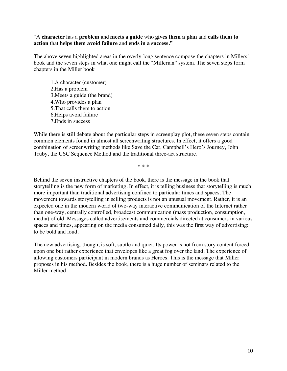## "A **character** has a **problem** and **meets a guide** who **gives them a plan** and **calls them to action** that **helps them avoid failure** and **ends in a success."**

The above seven highlighted areas in the overly-long sentence compose the chapters in Millers' book and the seven steps in what one might call the "Millerian" system. The seven steps form chapters in the Miller book

1.A character (customer) 2.Has a problem 3.Meets a guide (the brand) 4.Who provides a plan 5.That calls them to action 6.Helps avoid failure 7.Ends in success

While there is still debate about the particular steps in screenplay plot, these seven steps contain common elements found in almost all screenwriting structures. In effect, it offers a good combination of screenwriting methods like Save the Cat, Campbell's Hero's Journey, John Truby, the USC Sequence Method and the traditional three-act structure.

\* \* \*

Behind the seven instructive chapters of the book, there is the message in the book that storytelling is the new form of marketing. In effect, it is telling business that storytelling is much more important than traditional advertising confined to particular times and spaces. The movement towards storytelling in selling products is not an unusual movement. Rather, it is an expected one in the modern world of two-way interactive communication of the Internet rather than one-way, centrally controlled, broadcast communication (mass production, consumption, media) of old. Messages called advertisements and commercials directed at consumers in various spaces and times, appearing on the media consumed daily, this was the first way of advertising: to be bold and loud.

The new advertising, though, is soft, subtle and quiet. Its power is not from story content forced upon one but rather experience that envelopes like a great fog over the land. The experience of allowing customers participant in modern brands as Heroes. This is the message that Miller proposes in his method. Besides the book, there is a huge number of seminars related to the Miller method.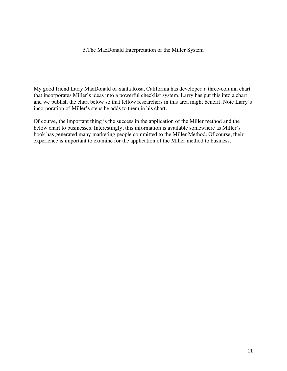#### 5.The MacDonald Interpretation of the Miller System

My good friend Larry MacDonald of Santa Rosa, California has developed a three-column chart that incorporates Miller's ideas into a powerful checklist system. Larry has put this into a chart and we publish the chart below so that fellow researchers in this area might benefit. Note Larry's incorporation of Miller's steps he adds to them in his chart.

Of course, the important thing is the success in the application of the Miller method and the below chart to businesses. Interestingly, this information is available somewhere as Miller's book has generated many marketing people committed to the Miller Method. Of course, their experience is important to examine for the application of the Miller method to business.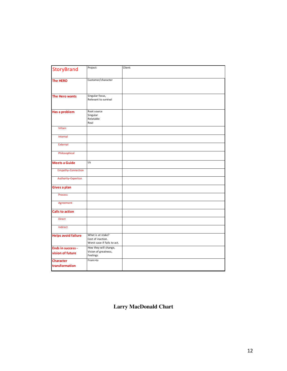| StoryBrand                                   | Project:                                                              | Client: |
|----------------------------------------------|-----------------------------------------------------------------------|---------|
| <b>The HERO</b>                              | Customer/character                                                    |         |
| The Hero wants                               | Singular focus,<br>Relevant to survival                               |         |
| Has a problem                                | Root source<br>Singular<br>Relatable<br>Real                          |         |
| Villain                                      |                                                                       |         |
| Internal                                     |                                                                       |         |
| External                                     |                                                                       |         |
| Philosophical                                |                                                                       |         |
| <b>Meets a Guide</b>                         | Us                                                                    |         |
| Empathy-Connection                           |                                                                       |         |
| Authority-Expertise                          |                                                                       |         |
| Gives a plan                                 |                                                                       |         |
| <b>Process</b>                               |                                                                       |         |
| Agreement                                    |                                                                       |         |
| <b>Calls to action</b>                       |                                                                       |         |
| <b>Direct</b>                                |                                                                       |         |
| Indirect                                     |                                                                       |         |
| <b>Helps avoid failure</b>                   | What is at stake?<br>Cost of inaction.<br>Worst case if fails to act. |         |
| <b>Ends in success -</b><br>vision of future | How they will change,<br>Vision of greatness,<br>Feelings             |         |
| <b>Character</b><br>transformation           | From>to                                                               |         |

**Larry MacDonald Chart**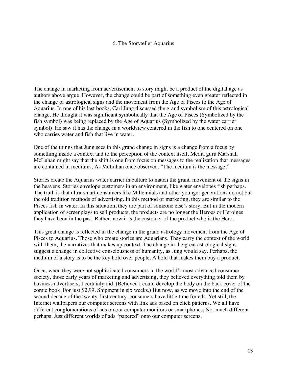#### 6. The Storyteller Aquarius

The change in marketing from advertisement to story might be a product of the digital age as authors above argue. However, the change could be part of something even greater reflected in the change of astrological signs and the movement from the Age of Pisces to the Age of Aquarius. In one of his last books, Carl Jung discussed the grand symbolism of this astrological change. He thought it was significant symbolically that the Age of Pisces (Symbolized by the fish symbol) was being replaced by the Age of Aquarius (Symbolized by the water carrier symbol). He saw it has the change in a worldview centered in the fish to one centered on one who carries water and fish that live in water.

One of the things that Jung sees in this grand change in signs is a change from a focus by something inside a context and to the perception of the context itself. Media guru Marshall McLuhan might say that the shift is one from focus on messages to the realization that messages are contained in mediums. As McLuhan once observed, "The medium is the message."

Stories create the Aquarius water carrier in culture to match the grand movement of the signs in the heavens. Stories envelope customers in an environment, like water envelopes fish perhaps. The truth is that ultra-smart consumers like Millennials and other younger generations do not but the old tradition methods of advertising. In this method of marketing, they are similar to the Pisces fish in water. In this situation, they are part of someone else's story. But in the modern application of screenplays to sell products, the products are no longer the Heroes or Heroines they have been in the past. Rather, now it is the customer of the product who is the Hero.

This great change is reflected in the change in the grand astrology movement from the Age of Pisces to Aquarius. Those who create stories are Aquarians. They carry the context of the world with them, the narratives that makes up context. The change in the great astrological signs suggest a change in collective consciousness of humanity, as Jung would say. Perhaps, the medium of a story is to be the key hold over people. A hold that makes them buy a product.

Once, when they were not sophisticated consumers in the world's most advanced consumer society, those early years of marketing and advertising, they believed everything told them by business advertisers. I certainly did. (Believed I could develop the body on the back cover of the comic book. For just \$2.99. Shipment in six weeks.) But now, as we move into the end of the second decade of the twenty-first century, consumers have little time for ads. Yet still, the Internet wallpapers our computer screens with link ads based on click patterns. We all have different conglomerations of ads on our computer monitors or smartphones. Not much different perhaps. Just different worlds of ads "papered" onto our computer screens.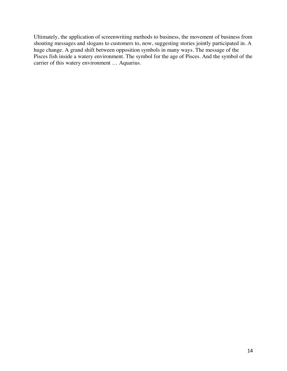Ultimately, the application of screenwriting methods to business, the movement of business from shouting messages and slogans to customers to, now, suggesting stories jointly participated in. A huge change. A grand shift between opposition symbols in many ways. The message of the Pisces fish inside a watery environment. The symbol for the age of Pisces. And the symbol of the carrier of this watery environment … Aquarius.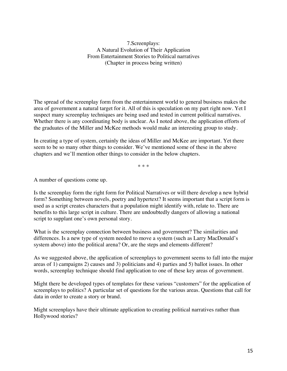7.Screenplays: A Natural Evolution of Their Application From Entertainment Stories to Political narratives (Chapter in process being written)

The spread of the screenplay form from the entertainment world to general business makes the area of government a natural target for it. All of this is speculation on my part right now. Yet I suspect many screenplay techniques are being used and tested in current political narratives. Whether there is any coordinating body is unclear. As I noted above, the application efforts of the graduates of the Miller and McKee methods would make an interesting group to study.

In creating a type of system, certainly the ideas of Miller and McKee are important. Yet there seem to be so many other things to consider. We've mentioned some of these in the above chapters and we'll mention other things to consider in the below chapters.

\* \* \*

A number of questions come up.

Is the screenplay form the right form for Political Narratives or will there develop a new hybrid form? Something between novels, poetry and hypertext? It seems important that a script form is used as a script creates characters that a population might identify with, relate to. There are benefits to this large script in culture. There are undoubtedly dangers of allowing a national script to supplant one's own personal story.

What is the screenplay connection between business and government? The similarities and differences. Is a new type of system needed to move a system (such as Larry MacDonald's system above) into the political arena? Or, are the steps and elements different?

As we suggested above, the application of screenplays to government seems to fall into the major areas of 1) campaigns 2) causes and 3) politicians and 4) parties and 5) ballot issues. In other words, screenplay technique should find application to one of these key areas of government.

Might there be developed types of templates for these various "customers" for the application of screenplays to politics? A particular set of questions for the various areas. Questions that call for data in order to create a story or brand.

Might screenplays have their ultimate application to creating political narratives rather than Hollywood stories?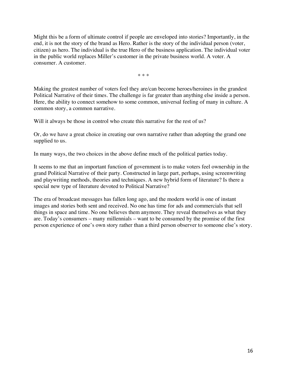Might this be a form of ultimate control if people are enveloped into stories? Importantly, in the end, it is not the story of the brand as Hero. Rather is the story of the individual person (voter, citizen) as hero. The individual is the true Hero of the business application. The individual voter in the public world replaces Miller's customer in the private business world. A voter. A consumer. A customer.

\* \* \*

Making the greatest number of voters feel they are/can become heroes/heroines in the grandest Political Narrative of their times. The challenge is far greater than anything else inside a person. Here, the ability to connect somehow to some common, universal feeling of many in culture. A common story, a common narrative.

Will it always be those in control who create this narrative for the rest of us?

Or, do we have a great choice in creating our own narrative rather than adopting the grand one supplied to us.

In many ways, the two choices in the above define much of the political parties today.

It seems to me that an important function of government is to make voters feel ownership in the grand Political Narrative of their party. Constructed in large part, perhaps, using screenwriting and playwriting methods, theories and techniques. A new hybrid form of literature? Is there a special new type of literature devoted to Political Narrative?

The era of broadcast messages has fallen long ago, and the modern world is one of instant images and stories both sent and received. No one has time for ads and commercials that sell things in space and time. No one believes them anymore. They reveal themselves as what they are. Today's consumers – many millennials – want to be consumed by the promise of the first person experience of one's own story rather than a third person observer to someone else's story.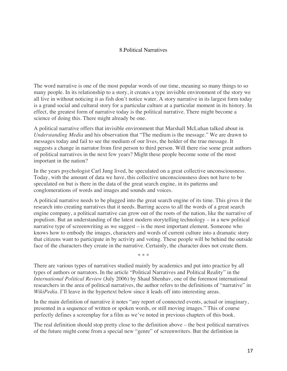#### 8.Political Narratives

The word narrative is one of the most popular words of our time, meaning so many things to so many people. In its relationship to a story, it creates a type invisible environment of the story we all live in without noticing it as fish don't notice water. A story narrative in its largest form today is a grand social and cultural story for a particular culture at a particular moment in its history. In effect, the greatest form of narrative today is the political narrative. There might become a science of doing this. There might already be one.

A political narrative offers that invisible environment that Marshall McLuhan talked about in *Understanding Media* and his observation that "The medium is the message." We are drawn to messages today and fail to see the medium of our lives, the holder of the true message. It suggests a change in narrator from first person to third person. Will there rise some great authors of political narratives in the next few years? Might these people become some of the most important in the nation?

In the years psychologist Carl Jung lived, he speculated on a great collective unconsciousness. Today, with the amount of data we have, this collective unconsciousness does not have to be speculated on but is there in the data of the great search engine, in its patterns and conglomerations of words and images and sounds and voices.

A political narrative needs to be plugged into the great search engine of its time. This gives it the research into creating narratives that it needs. Barring access to all the words of a great search engine company, a political narrative can grow out of the roots of the nation, like the narrative of populism. But an understanding of the latest modern storytelling technology – in a new political narrative type of screenwriting as we suggest – is the most important element. Someone who knows how to embody the images, characters and words of current culture into a dramatic story that citizens want to participate in by activity and voting. These people will be behind the outside face of the characters they create in the narrative. Certainly, the character does not create them.

\* \* \*

There are various types of narratives studied mainly by academics and put into practice by all types of authors or narrators. In the article "Political Narratives and Political Reality" in the *International Political Review* (July 2006) by Shaul Shenhav, one of the foremost international researchers in the area of political narratives, the author refers to the definitions of "narrative" in *WikiPedia*. I'll leave in the hypertext below since it leads off into interesting areas.

In the main definition of narrative it notes "any report of connected events, actual or imaginary, presented in a sequence of written or spoken words, or still moving images." This of course perfectly defines a screenplay for a film as we've noted in previous chapters of this book.

The real definition should stop pretty close to the definition above – the best political narratives of the future might come from a special new "genre" of screenwriters. But the definition in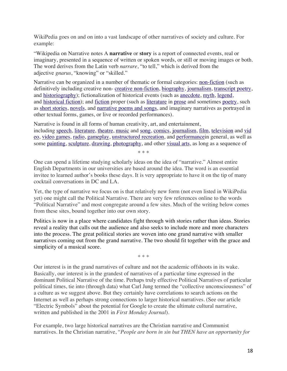WikiPedia goes on and on into a vast landscape of other narratives of society and culture. For example:

"Wikipedia on Narrative notes A **narrative** or **story** is a report of connected events, real or imaginary, presented in a sequence of written or spoken words, or still or moving images or both. The word derives from the Latin verb *narrare*, "to tell," which is derived from the adjective *gnarus*, "knowing" or "skilled."

Narrative can be organized in a number of thematic or formal categories: non-fiction (such as definitively including creative non-creative non-fiction, biography, journalism, transcript poetry, and historiography); fictionalization of historical events (such as anecdote, myth, legend, and historical fiction); and fiction proper (such as literature in prose and sometimes poetry, such as short stories, novels, and narrative poems and songs, and imaginary narratives as portrayed in other textual forms, games, or live or recorded performances).

Narrative is found in all forms of human creativity, art, and entertainment, including speech, literature, theatre, music and song, comics, journalism, film, television and vid eo, video games, radio, gameplay, unstructured recreation, and performancein general, as well as some painting, sculpture, drawing, photography, and other visual arts, as long as a sequence of

\* \* \*

One can spend a lifetime studying scholarly ideas on the idea of "narrative." Almost entire English Departments in our universities are based around the idea. The word is an essential invitee to learned author's books these days. It is very appropriate to have it on the tip of many cocktail conversations in DC and LA.

Yet, the type of narrative we focus on is that relatively new form (not even listed in WikiPedia yet) one might call the Political Narrative. There are very few references online to the words "Political Narrative" and most congregate around a few sites. Much of the writing below comes from these sites, bound together into our own story.

Politics is now in a place where candidates fight through with stories rather than ideas. Stories reveal a reality that calls out the audience and also seeks to include more and more characters into the process. The great political stories are woven into one grand narrative with smaller narratives coming out from the grand narrative. The two should fit together with the grace and simplicity of a musical score.

\* \* \*

Our interest is in the grand narratives of culture and not the academic offshoots in its wake. Basically, our interest is in the grandest of narratives of a particular time expressed in the dominant Political Narrative of the time. Perhaps truly effective Political Narratives of particular political times, tie into (through data) what Carl Jung termed the "collective unconsciousness" of a culture as we suggest above. But they certainly have correlations to search actions on the Internet as well as perhaps strong connections to larger historical narratives. (See our article "Electric Symbols" about the potential for Google to create the ultimate cultural narrative, written and published in the 2001 in *First Monday Journal*).

For example, two large historical narratives are the Christian narrative and Communist narratives. In the Christian narrative, "*People are born in sin but THEN have an opportunity for*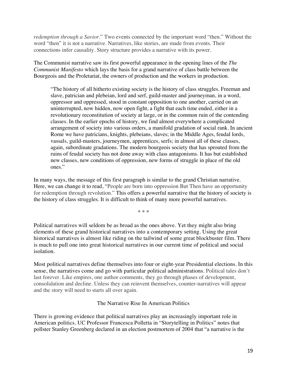*redemption through a Savior.*" Two events connected by the important word "then." Without the word "then" it is not a narrative. Narratives, like stories, are made from events. Their connections infer causality. Story structure provides a narrative with its power.

The Communist narrative saw its first powerful appearance in the opening lines of the *The Communist Manifesto* which lays the basis for a grand narrative of class battle between the Bourgeois and the Proletariat, the owners of production and the workers in production.

"The history of all hitherto existing society is the history of class struggles. Freeman and slave, patrician and plebeian, lord and serf, guild-master and journeyman, in a word, oppressor and oppressed, stood in constant opposition to one another, carried on an uninterrupted, now hidden, now open fight, a fight that each time ended, either in a revolutionary reconstitution of society at large, or in the common ruin of the contending classes. In the earlier epochs of history, we find almost everywhere a complicated arrangement of society into various orders, a manifold gradation of social rank. In ancient Rome we have patricians, knights, plebeians, slaves; in the Middle Ages, feudal lords, vassals, guild-masters, journeymen, apprentices, serfs; in almost all of these classes, again, subordinate gradations. The modern bourgeois society that has sprouted from the ruins of feudal society has not done away with class antagonisms. It has but established new classes, new conditions of oppression, new forms of struggle in place of the old ones."

In many ways, the message of this first paragraph is similar to the grand Christian narrative. Here, we can change it to read, "People are born into oppression But Then have an opportunity for redemption through revolution." This offers a powerful narrative that the history of society is the history of class struggles. It is difficult to think of many more powerful narratives.

\* \* \*

Political narratives will seldom be as broad as the ones above. Yet they might also bring elements of these grand historical narratives into a contemporary setting. Using the great historical narratives is almost like riding on the tailwind of some great blockbuster film. There is much to pull one into great historical narratives in our current time of political and social isolation.

Most political narratives define themselves into four or eight-year Presidential elections. In this sense, the narratives come and go with particular political administrations. Political tales don't last forever. Like empires, one author comments, they go through phases of development, consolidation and decline. Unless they can reinvent themselves, counter-narratives will appear and the story will need to starts all over again.

# The Narrative Rise In American Politics

There is growing evidence that political narratives play an increasingly important role in American politics. UC Professor Francesca Polletta in "Storytelling in Politics" notes that pollster Stanley Greenberg declared in an election postmortem of 2004 that "a narrative is the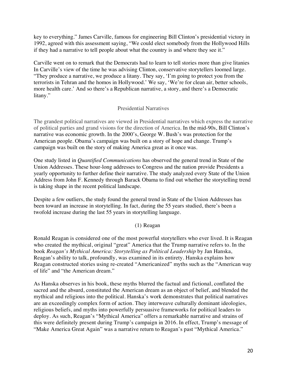key to everything." James Carville, famous for engineering Bill Clinton's presidential victory in 1992, agreed with this assessment saying, "We could elect somebody from the Hollywood Hills if they had a narrative to tell people about what the country is and where they see it."

Carville went on to remark that the Democrats had to learn to tell stories more than give litanies In Carville's view of the time he was advising Clinton, conservative storytellers loomed large. "They produce a narrative, we produce a litany. They say, 'I'm going to protect you from the terrorists in Tehran and the homos in Hollywood.' We say, 'We're for clean air, better schools, more health care.' And so there's a Republican narrative, a story, and there's a Democratic litany."

# Presidential Narratives

The grandest political narratives are viewed in Presidential narratives which express the narrative of political parties and grand visions for the direction of America. In the mid-90s, Bill Clinton's narrative was economic growth. In the 2000's, George W. Bush's was protection for the American people. Obama's campaign was built on a story of hope and change. Trump's campaign was built on the story of making America great as it once was.

One study listed in *Quantified Communications* has observed the general trend in State of the Union Addresses. These hour-long addresses to Congress and the nation provide Presidents a yearly opportunity to further define their narrative. The study analyzed every State of the Union Address from John F. Kennedy through Barack Obama to find out whether the storytelling trend is taking shape in the recent political landscape.

Despite a few outliers, the study found the general trend in State of the Union Addresses has been toward an increase in storytelling. In fact, during the 55 years studied, there's been a twofold increase during the last 55 years in storytelling language.

# (1) Reagan

Ronald Reagan is considered one of the most powerful storytellers who ever lived. It is Reagan who created the mythical, original "great" America that the Trump narrative refers to. In the book *Reagan's Mythical America: Storytelling as Political Leadership* by Jan Hanska, Reagan's ability to talk, profoundly, was examined in its entirety. Hanska explains how Reagan constructed stories using re-created "Americanized" myths such as the "American way of life" and "the American dream."

As Hanska observes in his book, these myths blurred the factual and fictional, conflated the sacred and the absurd, constituted the American dream as an object of belief, and blended the mythical and religious into the political. Hanska's work demonstrates that political narratives are an exceedingly complex form of action. They interweave culturally dominant ideologies, religious beliefs, and myths into powerfully persuasive frameworks for political leaders to deploy. As such, Reagan's "Mythical America" offers a remarkable narrative and strains of this were definitely present during Trump's campaign in 2016. In effect, Trump's message of "Make America Great Again" was a narrative return to Reagan's past "Mythical America."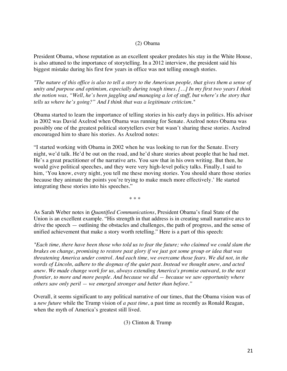# (2) Obama

President Obama, whose reputation as an excellent speaker predates his stay in the White House, is also attuned to the importance of storytelling. In a 2012 interview, the president said his biggest mistake during his first few years in office was not telling enough stories.

*"The nature of this office is also to tell a story to the American people, that gives them a sense of unity and purpose and optimism, especially during tough times. […] In my first two years I think the notion was, "Well, he's been juggling and managing a lot of stuff, but where's the story that tells us where he's going?" And I think that was a legitimate criticism."*

Obama started to learn the importance of telling stories in his early days in politics. His advisor in 2002 was David Axelrod when Obama was running for Senate. Axelrod notes Obama was possibly one of the greatest political storytellers ever but wasn't sharing these stories. Axelrod encouraged him to share his stories. As Axelrod notes:

"I started working with Obama in 2002 when he was looking to run for the Senate. Every night, we'd talk. He'd be out on the road, and he'd share stories about people that he had met. He's a great practitioner of the narrative arts. You saw that in his own writing. But then, he would give political speeches, and they were very high-level policy talks. Finally, I said to him, 'You know, every night, you tell me these moving stories. You should share those stories because they animate the points you're trying to make much more effectively.' He started integrating these stories into his speeches."

\* \* \*

As Sarah Weber notes in *Quantified Communications*, President Obama's final State of the Union is an excellent example. "His strength in that address is in creating small narrative arcs to drive the speech — outlining the obstacles and challenges, the path of progress, and the sense of unified achievement that make a story worth retelling." Here is a part of this speech:

*"Each time, there have been those who told us to fear the future; who claimed we could slam the brakes on change, promising to restore past glory if we just got some group or idea that was threatening America under control. And each time, we overcame those fears. We did not, in the words of Lincoln, adhere to the dogmas of the quiet past. Instead we thought anew, and acted anew. We made change work for us, always extending America's promise outward, to the next frontier, to more and more people. And because we did — because we saw opportunity where others saw only peril — we emerged stronger and better than before."*

Overall, it seems significant to any political narrative of our times, that the Obama vision was of a *new future* while the Trump vision of *a past time*, a past time as recently as Ronald Reagan, when the myth of America's greatest still lived.

(3) Clinton & Trump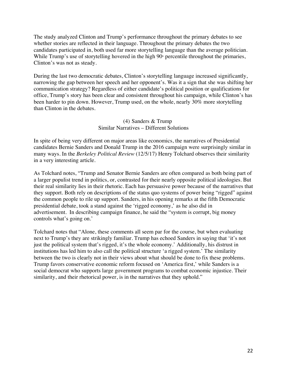The study analyzed Clinton and Trump's performance throughout the primary debates to see whether stories are reflected in their language. Throughout the primary debates the two candidates participated in, both used far more storytelling language than the average politician. While Trump's use of storytelling hovered in the high  $90<sup>th</sup>$  percentile throughout the primaries, Clinton's was not as steady.

During the last two democratic debates, Clinton's storytelling language increased significantly, narrowing the gap between her speech and her opponent's. Was it a sign that she was shifting her communication strategy? Regardless of either candidate's political position or qualifications for office, Trump's story has been clear and consistent throughout his campaign, while Clinton's has been harder to pin down. However, Trump used, on the whole, nearly 30% more storytelling than Clinton in the debates.

# (4) Sanders & Trump Similar Narratives – Different Solutions

In spite of being very different on major areas like economics, the narratives of Presidential candidates Bernie Sanders and Donald Trump in the 2016 campaign were surprisingly similar in many ways. In the *Berkeley Political Review* (12/5/17) Henry Tolchard observes their similarity in a very interesting article.

As Tolchard notes, "Trump and Senator Bernie Sanders are often compared as both being part of a larger populist trend in politics, or, contrasted for their nearly opposite political ideologies. But their real similarity lies in their rhetoric. Each has persuasive power because of the narratives that they support. Both rely on descriptions of the status quo systems of power being "rigged" against the common people to rile up support. Sanders, in his opening remarks at the fifth Democratic presidential debate, took a stand against the 'rigged economy,' as he also did in advertisement. In describing campaign finance, he said the "system is corrupt, big money controls what's going on.'

Tolchard notes that "Alone, these comments all seem par for the course, but when evaluating next to Trump's they are strikingly familiar. Trump has echoed Sanders in saying that 'it's not just the political system that's rigged, it's the whole economy.' Additionally, his distrust in institutions has led him to also call the political structure 'a rigged system.' The similarity between the two is clearly not in their views about what should be done to fix these problems. Trump favors conservative economic reform focused on 'America first,' while Sanders is a social democrat who supports large government programs to combat economic injustice. Their similarity, and their rhetorical power, is in the narratives that they uphold."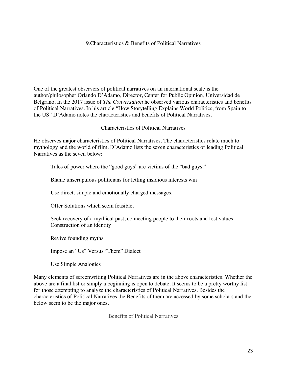#### 9.Characteristics & Benefits of Political Narratives

One of the greatest observers of political narratives on an international scale is the author/philosopher Orlando D'Adamo, Director, Center for Public Opinion, Universidad de Belgrano. In the 2017 issue of *The Conversation* he observed various characteristics and benefits of Political Narratives. In his article "How Storytelling Explains World Politics, from Spain to the US" D'Adamo notes the characteristics and benefits of Political Narratives.

Characteristics of Political Narratives

He observes major characteristics of Political Narratives. The characteristics relate much to mythology and the world of film. D'Adamo lists the seven characteristics of leading Political Narratives as the seven below:

Tales of power where the "good guys" are victims of the "bad guys."

Blame unscrupulous politicians for letting insidious interests win

Use direct, simple and emotionally charged messages.

Offer Solutions which seem feasible.

Seek recovery of a mythical past, connecting people to their roots and lost values. Construction of an identity

Revive founding myths

Impose an "Us" Versus "Them" Dialect

Use Simple Analogies

Many elements of screenwriting Political Narratives are in the above characteristics. Whether the above are a final list or simply a beginning is open to debate. It seems to be a pretty worthy list for those attempting to analyze the characteristics of Political Narratives. Besides the characteristics of Political Narratives the Benefits of them are accessed by some scholars and the below seem to be the major ones.

Benefits of Political Narratives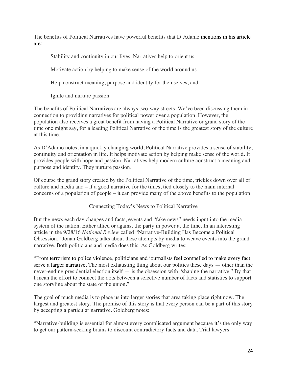The benefits of Political Narratives have powerful benefits that D'Adamo mentions in his article are:

Stability and continuity in our lives. Narratives help to orient us

Motivate action by helping to make sense of the world around us

Help construct meaning, purpose and identity for themselves, and

Ignite and nurture passion

The benefits of Political Narratives are always two-way streets. We've been discussing them in connection to providing narratives for political power over a population. However, the population also receives a great benefit from having a Political Narrative or grand story of the time one might say, for a leading Political Narrative of the time is the greatest story of the culture at this time.

As D'Adamo notes, in a quickly changing world, Political Narrative provides a sense of stability, continuity and orientation in life. It helps motivate action by helping make sense of the world. It provides people with hope and passion. Narratives help modern culture construct a meaning and purpose and identity. They nurture passion.

Of course the grand story created by the Political Narrative of the time, trickles down over all of culture and media and – if a good narrative for the times, tied closely to the main internal concerns of a population of people – it can provide many of the above benefits to the population.

Connecting Today's News to Political Narrative

But the news each day changes and facts, events and "fake news" needs input into the media system of the nation. Either allied or against the party in power at the time. In an interesting article in the 9/28/16 *National Review* called "Narrative-Building Has Become a Political Obsession," Jonah Goldberg talks about these attempts by media to weave events into the grand narrative. Both politicians and media does this. As Goldberg writes:

"From terrorism to police violence, politicians and journalists feel compelled to make every fact serve a larger narrative. The most exhausting thing about our politics these days — other than the never-ending presidential election itself — is the obsession with "shaping the narrative." By that I mean the effort to connect the dots between a selective number of facts and statistics to support one storyline about the state of the union."

The goal of much media is to place us into larger stories that area taking place right now. The largest and greatest story. The promise of this story is that every person can be a part of this story by accepting a particular narrative. Goldberg notes:

"Narrative-building is essential for almost every complicated argument because it's the only way to get our pattern-seeking brains to discount contradictory facts and data. Trial lawyers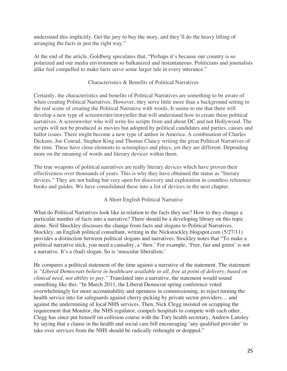understand this implicitly. Get the jury to buy the story, and they'll do the heavy lifting of arranging the facts in just the right way."

At the end of the article, Goldberg speculates that, "Perhaps it's because our country is so polarized and our media environment so balkanized and instantaneous. Politicians and journalists alike feel compelled to make facts serve some larger tale in every utterance."

# Characteristics & Benefits of Political Narratives

Certainly, the characteristics and benefits of Political Narratives are something to be aware of when creating Political Narratives. However, they serve little more than a background setting to the real scene of creating the Political Narrative with words. It seems to me that there will develop a new type of screenwriter/storyteller that will understand how to create these political narratives. A screenwriter who will write his scripts from and about DC and not Hollywood. The scripts will not be produced as movies but adopted by political candidates and parties, causes and ballot issues. There might become a new type of author in America. A combination of Charles Dickens, Joe Conrad, Stephen King and Thomas Clancy writing the great Political Narratives of the time. These have close elements to screenplays and plays, yet they are different. Depending more on the meaning of words and literary devices within them.

The true weapons of political narratives are really literary devices which have proven their effectiveness over thousands of years. This is why they have obtained the status as "literary devices." They are not hiding but very open for discovery and exploration in countless reference books and guides. We have consolidated these into a list of devices in the next chapter.

# A Short English Political Narrative

What do Political Narratives look like in relation to the facts they use? How to they change a particular number of facts into a narrative? There should be a developing library on this topic alone. Neil Shockley discusses the change from facts and slogans to Political Narratives. Stockley, an English political consultant, writing in the Nickstockley.blogspot.com (5/27/11) provides a distinction between political slogans and narratives. Stockley notes that "To make a political narrative stick, you need a causality, a 'then.' For example, 'Free, fair and green' is not a narrative. It's a (bad) slogan. So is 'muscular liberalism.'

He compares a political statement of the time against a narrative of the statement. The statement is *"Liberal Democrats believe in healthcare available to all, free at point of delivery, based on clinical need, not ability to pay."* Translated into a narrative, the statement would sound something like this. "In March 2011, the Liberal Democrat spring conference voted overwhelmingly for more accountability and openness in commissioning, to reject turning the health service into for safeguards against cherry-picking by private sector providers… and against the undermining of local NHS services. Then, Nick Clegg insisted on scrapping the requirement that Monitor, the NHS regulator, compels hospitals to compete with each other. Clegg has since put himself on collision course with the Tory health secretary, Andrew Lansley by saying that a clause in the health and social care bill encouraging 'any qualified provider' to take over services from the NHS should be radically rethought or dropped."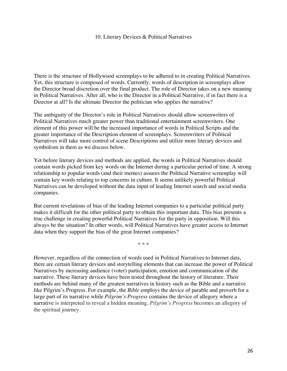#### 10. Literary Devices & Political Narratives

There is the structure of Hollywood screenplays to be adhered to in creating Political Narratives. Yet, this structure is composed of words. Currently, words of description in screenplays allow the Director broad discretion over the final product. The role of Director takes on a new meaning in Political Narratives. After all, who is the Director in a Political Narrative, if in fact there is a Director at all? Is the ultimate Director the politician who applies the narrative?

The ambiguity of the Director's role in Political Narratives should allow screenwriters of Political Narratives much greater power than traditional entertainment screenwriters. One element of this power will be the increased importance of words in Political Scripts and the greater importance of the Description element of screenplays. Screenwriters of Political Narratives will take more control of scene Descriptions and utilize more literary devices and symbolism in them as we discuss below.

Yet before literary devices and methods are applied, the words in Political Narratives should contain words picked from key words on the Internet during a particular period of time. A strong relationship to popular words (and their memes) assures the Political Narrative screenplay will contain key words relating to top concerns in culture. It seems unlikely powerful Political Narratives can be developed without the data input of leading Internet search and social media companies.

But current revelations of bias of the leading Internet companies to a particular political party makes it difficult for the other political party to obtain this important data. This bias presents a true challenge in creating powerful Political Narratives for the party in opposition. Will this always be the situation? In other words, will Political Narratives have greater access to Internet data when they support the bias of the great Internet companies?

\* \* \*

However, regardless of the connection of words used in Political Narratives to Internet data, there are certain literary devices and storytelling elements that can increase the power of Political Narratives by increasing audience (voter) participation, emotion and communication of the narrative. These literary devices have been tested throughout the history of literature. Their methods are behind many of the greatest narratives in history such as the Bible and a narrative like Pilgrim's Progress. For example, the *Bible* employs the device of parable and proverb for a large part of its narrative while *Pilgrim's Progress* contains the device of allegory where a narrative is interpreted to reveal a hidden meaning. *Pilgrim's Progress* becomes an allegory of the spiritual journey.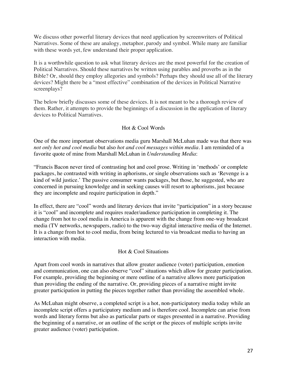We discuss other powerful literary devices that need application by screenwriters of Political Narratives. Some of these are analogy, metaphor, parody and symbol. While many are familiar with these words yet, few understand their proper application.

It is a worthwhile question to ask what literary devices are the most powerful for the creation of Political Narratives. Should these narratives be written using parables and proverbs as in the Bible? Or, should they employ allegories and symbols? Perhaps they should use all of the literary devices? Might there be a "most effective" combination of the devices in Political Narrative screenplays?

The below briefly discusses some of these devices. It is not meant to be a thorough review of them. Rather, it attempts to provide the beginnings of a discussion in the application of literary devices to Political Narratives.

# Hot & Cool Words

One of the more important observations media guru Marshall McLuhan made was that there was *not only hot and cool media* but also *hot and cool messages within media*. I am reminded of a favorite quote of mine from Marshall McLuhan in *Understanding Media*:

"Francis Bacon never tired of contrasting hot and cool prose. Writing in 'methods' or complete packages, he contrasted with writing in aphorisms, or single observations such as 'Revenge is a kind of wild justice.' The passive consumer wants packages, but those, he suggested, who are concerned in pursuing knowledge and in seeking causes will resort to aphorisms, just because they are incomplete and require participation in depth."

In effect, there are "cool" words and literary devices that invite "participation" in a story because it is "cool" and incomplete and requires reader/audience participation in completing it. The change from hot to cool media in America is apparent with the change from one-way broadcast media (TV networks, newspapers, radio) to the two-way digital interactive media of the Internet. It is a change from hot to cool media, from being lectured to via broadcast media to having an interaction with media.

# Hot & Cool Situations

Apart from cool words in narratives that allow greater audience (voter) participation, emotion and communication, one can also observe "cool" situations which allow for greater participation. For example, providing the beginning or mere outline of a narrative allows more participation than providing the ending of the narrative. Or, providing pieces of a narrative might invite greater participation in putting the pieces together rather than providing the assembled whole.

As McLuhan might observe, a completed script is a hot, non-participatory media today while an incomplete script offers a participatory medium and is therefore cool. Incomplete can arise from words and literary forms but also as particular parts or stages presented in a narrative. Providing the beginning of a narrative, or an outline of the script or the pieces of multiple scripts invite greater audience (voter) participation.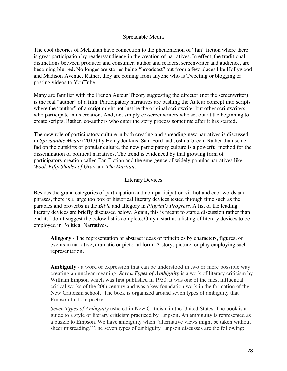## Spreadable Media

The cool theories of McLuhan have connection to the phenomenon of "fan" fiction where there is great participation by readers/audience in the creation of narratives. In effect, the traditional distinctions between producer and consumer, author and readers, screenwriter and audience, are becoming blurred. No longer are stories being "broadcast" out from a few places like Hollywood and Madison Avenue. Rather, they are coming from anyone who is Tweeting or blogging or posting videos to YouTube.

Many are familiar with the French Auteur Theory suggesting the director (not the screenwriter) is the real "author" of a film. Participatory narratives are pushing the Auteur concept into scripts where the "author" of a script might not just be the original scriptwriter but other scriptwriters who participate in its creation. And, not simply co-screenwriters who set out at the beginning to create scripts. Rather, co-authors who enter the story process sometime after it has started.

The new role of participatory culture in both creating and spreading new narratives is discussed in *Spreadable Media* (2013) by Henry Jenkins, Sam Ford and Joshua Green. Rather than some fad on the outskirts of popular culture, the new participatory culture is a powerful method for the dissemination of political narratives. The trend is evidenced by that growing form of participatory creation called Fan Fiction and the emergence of widely popular narratives like *Wool*, *Fifty Shades of Gray* and *The Martian*.

# Literary Devices

Besides the grand categories of participation and non-participation via hot and cool words and phrases, there is a large toolbox of historical literary devices tested through time such as the parables and proverbs in the *Bible* and allegory in *Pilgrim's Progress*. A list of the leading literary devices are briefly discussed below. Again, this is meant to start a discussion rather than end it. I don't suggest the below list is complete. Only a start at a listing of literary devices to be employed in Political Narratives.

**Allegory** - The representation of abstract ideas or principles by characters, figures, or events in narrative, dramatic or pictorial form. A story, picture, or play employing such representation.

**Ambiguity** - a word or expression that can be understood in two or more possible way creating an unclear meaning. *Seven Types of Ambiguity* is a work of literary criticism by William Empson which was first published in 1930. It was one of the most influential critical works of the 20th century and was a key foundation work in the formation of the New Criticism school. The book is organized around seven types of ambiguity that Empson finds in poetry.

*Seven Types of Ambiguity* ushered in New Criticism in the United States. The book is a guide to a style of literary criticism practiced by Empson. An ambiguity is represented as a puzzle to Empson. We have ambiguity when "alternative views might be taken without sheer misreading." The seven types of ambiguity Empson discusses are the following: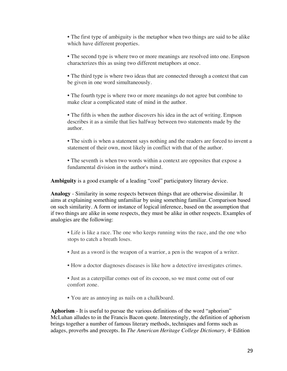• The first type of ambiguity is the metaphor when two things are said to be alike which have different properties.

• The second type is where two or more meanings are resolved into one. Empson characterizes this as using two different metaphors at once.

• The third type is where two ideas that are connected through a context that can be given in one word simultaneously.

• The fourth type is where two or more meanings do not agree but combine to make clear a complicated state of mind in the author.

• The fifth is when the author discovers his idea in the act of writing. Empson describes it as a simile that lies halfway between two statements made by the author.

• The sixth is when a statement says nothing and the readers are forced to invent a statement of their own, most likely in conflict with that of the author.

• The seventh is when two words within a context are opposites that expose a fundamental division in the author's mind.

**Ambiguity** is a good example of a leading "cool" participatory literary device.

**Analogy** - Similarity in some respects between things that are otherwise dissimilar. It aims at explaining something unfamiliar by using something familiar. Comparison based on such similarity. A form or instance of logical inference, based on the assumption that if two things are alike in some respects, they must be alike in other respects. Examples of analogies are the following:

• Life is like a race. The one who keeps running wins the race, and the one who stops to catch a breath loses.

- Just as a sword is the weapon of a warrior, a pen is the weapon of a writer.
- How a doctor diagnoses diseases is like how a detective investigates crimes.
- Just as a caterpillar comes out of its cocoon, so we must come out of our comfort zone.

• You are as annoying as nails on a chalkboard.

**Aphorism** - It is useful to pursue the various definitions of the word "aphorism" McLuhan alludes to in the Francis Bacon quote. Interestingly, the definition of aphorism brings together a number of famous literary methods, techniques and forms such as adages, proverbs and precepts. In *The American Heritage College Dictionary*, 4<sup>th</sup> Edition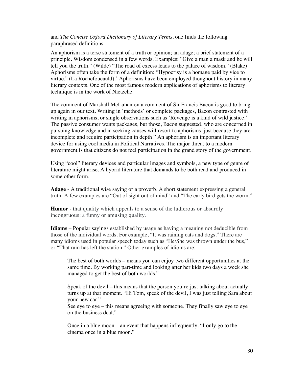#### and *The Concise Oxford Dictionary of Literary Terms*, one finds the following paraphrased definitions:

An aphorism is a terse statement of a truth or opinion; an adage; a brief statement of a principle. Wisdom condensed in a few words. Examples: "Give a man a mask and he will tell you the truth." (Wilde) "The road of excess leads to the palace of wisdom." (Blake) Aphorisms often take the form of a definition: "Hypocrisy is a homage paid by vice to virtue." (La Rochefoucauld).' Aphorisms have been employed thoughout history in many literary contexts. One of the most famous modern applications of aphorisms to literary technique is in the work of Nietzche.

The comment of Marshall McLuhan on a comment of Sir Francis Bacon is good to bring up again in our text. Writing in 'methods' or complete packages, Bacon contrasted with writing in aphorisms, or single observations such as 'Revenge is a kind of wild justice.' The passive consumer wants packages, but those, Bacon suggested, who are concerned in pursuing knowledge and in seeking causes will resort to aphorisms, just because they are incomplete and require participation in depth." An aphorism is an important literary device for using cool media in Political Narratives. The major threat to a modern government is that citizens do not feel participation in the grand story of the government.

Using "cool" literary devices and particular images and symbols, a new type of genre of literature might arise. A hybrid literature that demands to be both read and produced in some other form.

**Adage** - A traditional wise saying or a proverb. A short statement expressing a general truth. A few examples are "Out of sight out of mind" and "The early bird gets the worm."

**Humor** - that quality which appeals to a sense of the ludicrous or absurdly incongruous: a funny or amusing quality.

**Idioms** – Popular sayings established by usage as having a meaning not deducible from those of the individual words. For example, "It was raining cats and dogs." There are many idioms used in popular speech today such as "He/She was thrown under the bus," or "That rain has left the station." Other examples of idioms are:

The best of both worlds – means you can enjoy two different opportunities at the same time. By working part-time and looking after her kids two days a week she managed to get the best of both worlds."

Speak of the devil – this means that the person you're just talking about actually turns up at that moment. "Hi Tom, speak of the devil, I was just telling Sara about your new car."

See eye to eye – this means agreeing with someone. They finally saw eye to eye on the business deal."

Once in a blue moon – an event that happens infrequently. "I only go to the cinema once in a blue moon."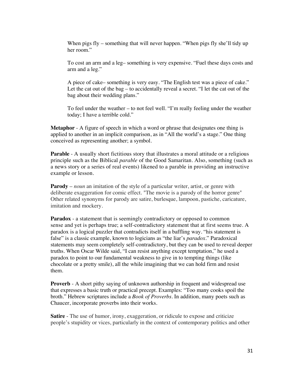When pigs fly – something that will never happen. "When pigs fly she'll tidy up her room."

To cost an arm and a leg– something is very expensive. "Fuel these days costs and arm and a leg."

A piece of cake– something is very easy. "The English test was a piece of cake." Let the cat out of the bag – to accidentally reveal a secret. "I let the cat out of the bag about their wedding plans."

To feel under the weather – to not feel well. "I'm really feeling under the weather today; I have a terrible cold."

**Metaphor** - A figure of speech in which a word or phrase that designates one thing is applied to another in an implicit comparison, as in "All the world's a stage." One thing conceived as representing another; a symbol.

**Parable** - A usually short fictitious story that illustrates a moral attitude or a religious principle such as the Biblical *parable* of the Good Samaritan. Also, something (such as a news story or a series of real events) likened to a parable in providing an instructive example or lesson.

**Parody** – *noun* an imitation of the style of a particular writer, artist, or genre with deliberate exaggeration for comic effect. "The movie is a parody of the horror genre" Other related synonyms for parody are satire, burlesque, lampoon, pastiche, caricature, imitation and mockery.

**Paradox** - a statement that is seemingly contradictory or opposed to common sense and yet is perhaps true; a self-contradictory statement that at first seems true. A paradox is a logical puzzler that contradicts itself in a baffling way. "his statement is false" is a classic example, known to logicians as "the liar's *paradox*." Paradoxical statements may seem completely self-contradictory, but they can be used to reveal deeper truths. When Oscar Wilde said, "I can resist anything except temptation," he used a paradox to point to our fundamental weakness to give in to tempting things (like chocolate or a pretty smile), all the while imagining that we can hold firm and resist them.

**Proverb** - A short pithy saying of unknown authorship in frequent and widespread use that expresses a basic truth or practical precept. Examples: "Too many cooks spoil the broth." Hebrew scriptures include a *Book of Proverbs*. In addition, many poets such as Chaucer, incorporate proverbs into their works.

**Satire** - The use of humor, irony, exaggeration, or ridicule to expose and criticize people's stupidity or vices, particularly in the context of contemporary politics and other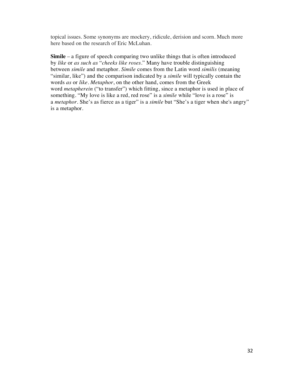topical issues. Some synonyms are mockery, ridicule, derision and scorn. Much more here based on the research of Eric McLuhan.

**Simile** – a figure of speech comparing two unlike things that is often introduced by *like* or *as such as* "*cheeks like roses*." Many have trouble distinguishing between *simile* and metaphor. *Simile* comes from the Latin word *similis* (meaning "similar, like") and the comparison indicated by a *simile* will typically contain the words *as* or *like*. *Metaphor*, on the other hand, comes from the Greek word *metapherein* ("to transfer") which fitting, since a metaphor is used in place of something. "My love is like a red, red rose" is a *simile* while "love is a rose" is a *metaphor*. She's as fierce as a tiger" is a *simile* but "She's a tiger when she's angry" is a metaphor.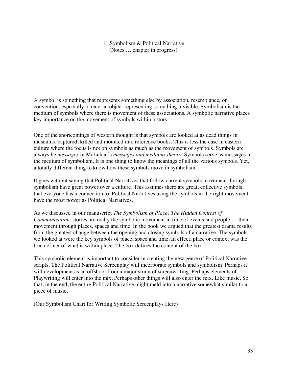# 11.Symbolism & Political Narrative (Notes … chapter in progress)

A symbol is something that represents something else by association, resemblance, or convention, especially a material object representing something invisible. Symbolism is the medium of symbols where there is movement of these associations. A symbolic narrative places key importance on the movement of symbols within a story.

One of the shortcomings of western thought is that symbols are looked at as dead things in museums, captured, killed and mounted into reference books. This is less the case in eastern culture where the focus is not on symbols as much as the movement of symbols. Symbols are always he *messages* in McLuhan's *messages and mediums theory*. Symbols serve as messages in the medium of symbolism. It is one thing to know the meanings of all the various symbols. Yet, a totally different thing to know how these symbols move in symbolism.

It goes without saying that Political Narratives that follow current symbols movement through symbolism have great power over a culture. This assumes there are great, collective symbols, that everyone has a connection to. Political Narratives using the symbols in the right movement have the most power as Political Narratives.

As we discussed in our manuscript *The Symbolism of Place: The Hidden Context of Communication*, stories are really the symbolic movement in time of events and people … their movement through places, spaces and time. In the book we argued that the greatest drama results from the greatest change between the opening and closing symbols of a narrative. The symbols we looked at were the key symbols of place, space and time. In effect, place or context was the true definer of what is within place. The box defines the content of the box.

This symbolic element is important to consider in creating the new genre of Political Narrative scripts. The Political Narrative Screenplay will incorporate symbols and symbolism. Perhaps it will development as an offshoot from a major strain of screenwriting. Perhaps elements of Playwriting will enter into the mix. Perhaps other things will also enter the mix. Like music. So that, in the end, the entire Political Narrative might meld into a narrative somewhat similar to a piece of music.

(Our Symbolism Chart for Writing Symbolic Screenplays Here)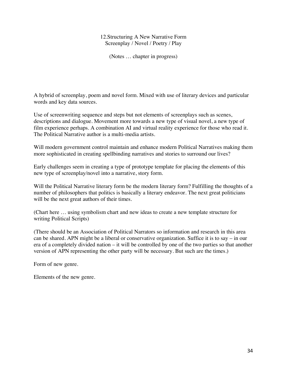# 12.Structuring A New Narrative Form Screenplay / Novel / Poetry / Play

(Notes … chapter in progress)

A hybrid of screenplay, poem and novel form. Mixed with use of literary devices and particular words and key data sources.

Use of screenwriting sequence and steps but not elements of screenplays such as scenes, descriptions and dialogue. Movement more towards a new type of visual novel, a new type of film experience perhaps. A combination AI and virtual reality experience for those who read it. The Political Narrative author is a multi-media artists.

Will modern government control maintain and enhance modern Political Narratives making them more sophisticated in creating spellbinding narratives and stories to surround our lives?

Early challenges seem in creating a type of prototype template for placing the elements of this new type of screenplay/novel into a narrative, story form.

Will the Political Narrative literary form be the modern literary form? Fulfilling the thoughts of a number of philosophers that politics is basically a literary endeavor. The next great politicians will be the next great authors of their times.

(Chart here … using symbolism chart and new ideas to create a new template structure for writing Political Scripts)

(There should be an Association of Political Narrators so information and research in this area can be shared. APN might be a liberal or conservative organization. Suffice it is to say – in our era of a completely divided nation – it will be controlled by one of the two parties so that another version of APN representing the other party will be necessary. But such are the times.)

Form of new genre.

Elements of the new genre.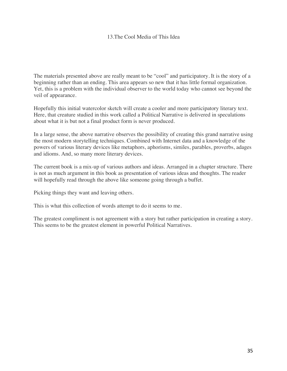## 13.The Cool Media of This Idea

The materials presented above are really meant to be "cool" and participatory. It is the story of a beginning rather than an ending. This area appears so new that it has little formal organization. Yet, this is a problem with the individual observer to the world today who cannot see beyond the veil of appearance.

Hopefully this initial watercolor sketch will create a cooler and more participatory literary text. Here, that creature studied in this work called a Political Narrative is delivered in speculations about what it is but not a final product form is never produced.

In a large sense, the above narrative observes the possibility of creating this grand narrative using the most modern storytelling techniques. Combined with Internet data and a knowledge of the powers of various literary devices like metaphors, aphorisms, similes, parables, proverbs, adages and idioms. And, so many more literary devices.

The current book is a mix-up of various authors and ideas. Arranged in a chapter structure. There is not as much argument in this book as presentation of various ideas and thoughts. The reader will hopefully read through the above like someone going through a buffet.

Picking things they want and leaving others.

This is what this collection of words attempt to do it seems to me.

The greatest compliment is not agreement with a story but rather participation in creating a story. This seems to be the greatest element in powerful Political Narratives.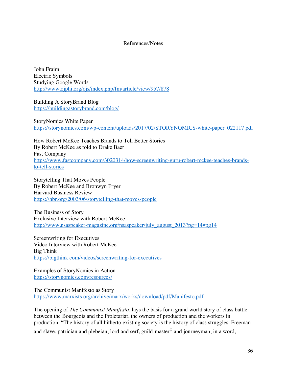#### References/Notes

John Fraim Electric Symbols Studying Google Words http://www.ojphi.org/ojs/index.php/fm/article/view/957/878

Building A StoryBrand Blog https://buildingastorybrand.com/blog/

StoryNomics White Paper https://storynomics.com/wp-content/uploads/2017/02/STORYNOMICS-white-paper\_022117.pdf

How Robert McKee Teaches Brands to Tell Better Stories By Robert McKee as told to Drake Baer Fast Company https://www.fastcompany.com/3020314/how-screenwriting-guru-robert-mckee-teaches-brandsto-tell-stories

Storytelling That Moves People By Robert McKee and Bronwyn Fryer Harvard Business Review https://hbr.org/2003/06/storytelling-that-moves-people

The Business of Story Exclusive Interview with Robert McKee http://www.nsaspeaker-magazine.org/nsaspeaker/july\_august\_2013?pg=14#pg14

Screenwriting for Executives Video Interview with Robert McKee Big Think https://bigthink.com/videos/screenwriting-for-executives

Examples of StoryNomics in Action https://storynomics.com/resources/

The Communist Manifesto as Story https://www.marxists.org/archive/marx/works/download/pdf/Manifesto.pdf

The opening of *The Communist Manifesto*, lays the basis for a grand world story of class battle between the Bourgeois and the Proletariat, the owners of production and the workers in production. "The history of all hitherto existing society is the history of class struggles. Freeman and slave, patrician and plebeian, lord and serf, guild-master $\ddot{\ddot{\tau}}$  and journeyman, in a word,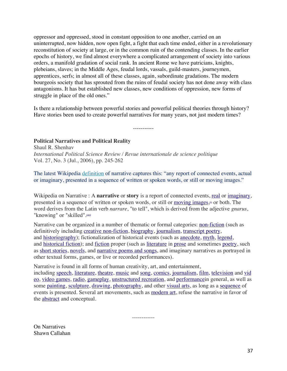oppressor and oppressed, stood in constant opposition to one another, carried on an uninterrupted, now hidden, now open fight, a fight that each time ended, either in a revolutionary reconstitution of society at large, or in the common ruin of the contending classes. In the earlier epochs of history, we find almost everywhere a complicated arrangement of society into various orders, a manifold gradation of social rank. In ancient Rome we have patricians, knights, plebeians, slaves; in the Middle Ages, feudal lords, vassals, guild-masters, journeymen, apprentices, serfs; in almost all of these classes, again, subordinate gradations. The modern bourgeois society that has sprouted from the ruins of feudal society has not done away with class antagonisms. It has but established new classes, new conditions of oppression, new forms of struggle in place of the old ones."

Is there a relationship between powerful stories and powerful political theories through history? Have stories been used to create powerful narratives for many years, not just modern times?

-----------

**Political Narratives and Political Reality** Shaul R. Shenhav *International Political Science Review / Revue internationale de science politique* Vol. 27, No. 3 (Jul., 2006), pp. 245-262

The latest Wikipedia definition of narrative captures this: "any report of connected events, actual or imaginary, presented in a sequence of written or spoken words, or still or moving images."

Wikipedia on Narrative : A **narrative** or **story** is a report of connected events, real or imaginary, presented in a sequence of written or spoken words, or still or moving images,<sup>*u*</sup> or both. The word derives from the Latin verb *narrare*, "to tell", which is derived from the adjective *gnarus*, "knowing" or "skilled".

Narrative can be organized in a number of thematic or formal categories: non-fiction (such as definitively including creative non-fiction, biography, journalism, transcript poetry, and historiography); fictionalization of historical events (such as anecdote, myth, legend, and historical fiction); and fiction proper (such as literature in prose and sometimes poetry, such as short stories, novels, and narrative poems and songs, and imaginary narratives as portrayed in other textual forms, games, or live or recorded performances).

Narrative is found in all forms of human creativity, art, and entertainment, including speech, literature, theatre, music and song, comics, journalism, film, television and vid eo, video games, radio, gameplay, unstructured recreation, and performancein general, as well as some painting, sculpture, drawing, photography, and other visual arts, as long as a sequence of events is presented. Several art movements, such as modern art, refuse the narrative in favor of the abstract and conceptual.

------------

On Narratives Shawn Callahan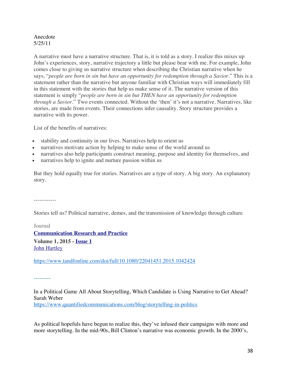# Anecdote 5/25/11

A narrative must have a narrative structure. That is, it is told as a story. I realize this mixes up John's experiences, story, narrative trajectory a little but please bear with me. For example, John comes close to giving us narrative structure when describing the Christian narrative when he says, "*people are born in sin but have an opportunity for redemption through a Savior.*" This is a statement rather than the narrative but anyone familiar with Christian ways will immediately fill in this statement with the stories that help us make sense of it. The narrative version of this statement is simply "*people are born in sin but THEN have an opportunity for redemption through a Savior.*" Two events connected. Without the 'then' it's not a narrative. Narratives, like stories, are made from events. Their connections infer causality. Story structure provides a narrative with its power.

List of the benefits of narratives:

- stability and continuity in our lives. Narratives help to orient us
- narratives motivate action by helping to make sense of the world around us
- narratives also help participants construct meaning, purpose and identity for themselves, and
- narratives help to ignite and nurture passion within us

But they hold equally true for stories. Narratives are a type of story. A big story. An explanatory story.

Stories tell us? Political narrative, demes, and the transmission of knowledge through culture

# Journal

**Communication Research and Practice Volume 1, 2015 - Issue 1** John Hartley

https://www.tandfonline.com/doi/full/10.1080/22041451.2015.1042424

---------

In a Political Game All About Storytelling, Which Candidate is Using Narrative to Get Ahead? Sarah Weber https://www.quantifiedcommunications.com/blog/storytelling-in-politics

As political hopefuls have begun to realize this, they've infused their campaigns with more and more storytelling. In the mid-90s, Bill Clinton's narrative was economic growth. In the 2000's,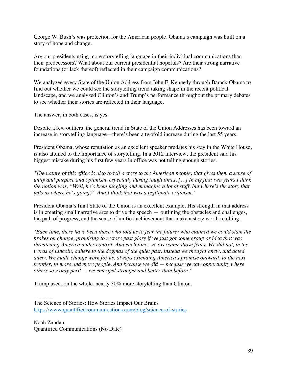George W. Bush's was protection for the American people. Obama's campaign was built on a story of hope and change.

Are our presidents using more storytelling language in their individual communications than their predecessors? What about our current presidential hopefuls? Are their strong narrative foundations (or lack thereof) reflected in their campaign communications?

We analyzed every State of the Union Address from John F. Kennedy through Barack Obama to find out whether we could see the storytelling trend taking shape in the recent political landscape, and we analyzed Clinton's and Trump's performance throughout the primary debates to see whether their stories are reflected in their language.

The answer, in both cases, is yes.

Despite a few outliers, the general trend in State of the Union Addresses has been toward an increase in storytelling language—there's been a twofold increase during the last 55 years.

President Obama, whose reputation as an excellent speaker predates his stay in the White House, is also attuned to the importance of storytelling. In a  $2012$  interview, the president said his biggest mistake during his first few years in office was not telling enough stories.

*"The nature of this office is also to tell a story to the American people, that gives them a sense of unity and purpose and optimism, especially during tough times. […] In my first two years I think the notion was, "Well, he's been juggling and managing a lot of stuff, but where's the story that tells us where he's going?" And I think that was a legitimate criticism."*

President Obama's final State of the Union is an excellent example. His strength in that address is in creating small narrative arcs to drive the speech — outlining the obstacles and challenges, the path of progress, and the sense of unified achievement that make a story worth retelling.

*"Each time, there have been those who told us to fear the future; who claimed we could slam the brakes on change, promising to restore past glory if we just got some group or idea that was threatening America under control. And each time, we overcame those fears. We did not, in the words of Lincoln, adhere to the dogmas of the quiet past. Instead we thought anew, and acted anew. We made change work for us, always extending America's promise outward, to the next frontier, to more and more people. And because we did — because we saw opportunity where others saw only peril — we emerged stronger and better than before."*

Trump used, on the whole, nearly 30% more storytelling than Clinton.

Noah Zandan Quantified Communications (No Date)

The Science of Stories: How Stories Impact Our Brains https://www.quantifiedcommunications.com/blog/science-of-stories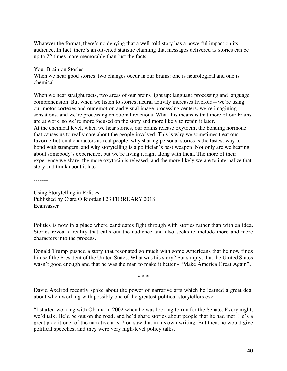Whatever the format, there's no denying that a well-told story has a powerful impact on its audience. In fact, there's an oft-cited statistic claiming that messages delivered as stories can be up to 22 times more memorable than just the facts.

Your Brain on Stories

When we hear good stories, two changes occur in our brains: one is neurological and one is chemical.

When we hear straight facts, two areas of our brains light up: language processing and language comprehension. But when we listen to stories, neural activity increases fivefold—we're using our motor cortexes and our emotion and visual image processing centers, we're imagining sensations, and we're processing emotional reactions. What this means is that more of our brains are at work, so we're more focused on the story and more likely to retain it later. At the chemical level, when we hear stories, our brains release oxytocin, the bonding hormone that causes us to really care about the people involved. This is why we sometimes treat our favorite fictional characters as real people, why sharing personal stories is the fastest way to bond with strangers, and why storytelling is a politician's best weapon. Not only are we hearing about somebody's experience, but we're living it right along with them. The more of their experience we share, the more oxytocin is released, and the more likely we are to internalize that story and think about it later.

--------

Using Storytelling in Politics Published by Ciara O Riordan | 23 FEBRUARY 2018 Ecanvasser

Politics is now in a place where candidates fight through with stories rather than with an idea. Stories reveal a reality that calls out the audience and also seeks to include more and more characters into the process.

Donald Trump pushed a story that resonated so much with some Americans that he now finds himself the President of the United States. What was his story? Put simply, that the United States wasn't good enough and that he was the man to make it better - "Make America Great Again".

\* \* \*

David Axelrod recently spoke about the power of narrative arts which he learned a great deal about when working with possibly one of the greatest political storytellers ever.

"I started working with Obama in 2002 when he was looking to run for the Senate. Every night, we'd talk. He'd be out on the road, and he'd share stories about people that he had met. He's a great practitioner of the narrative arts. You saw that in his own writing. But then, he would give political speeches, and they were very high-level policy talks.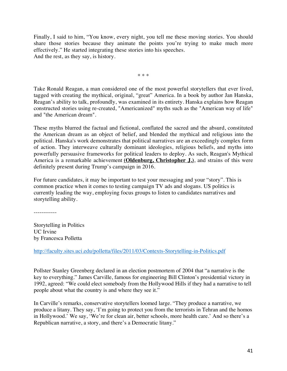Finally, I said to him, "You know, every night, you tell me these moving stories. You should share those stories because they animate the points you're trying to make much more effectively." He started integrating these stories into his speeches. And the rest, as they say, is history.

\* \* \*

Take Ronald Reagan, a man considered one of the most powerful storytellers that ever lived, tagged with creating the mythical, original, "great" America. In a book by author Jan Hanska, Reagan's ability to talk, profoundly, was examined in its entirety. Hanska explains how Reagan constructed stories using re-created, "Americanized" myths such as the "American way of life" and "the American dream".

These myths blurred the factual and fictional, conflated the sacred and the absurd, constituted the American dream as an object of belief, and blended the mythical and religious into the political. Hanska's work demonstrates that political narratives are an exceedingly complex form of action. They interweave culturally dominant ideologies, religious beliefs, and myths into powerfully persuasive frameworks for political leaders to deploy. As such, Reagan's Mythical America is a remarkable achievement **(Oldenburg, Christopher J.)**, and strains of this were definitely present during Trump's campaign in 2016.

For future candidates, it may be important to test your messaging and your "story". This is common practice when it comes to testing campaign TV ads and slogans. US politics is currently leading the way, employing focus groups to listen to candidates narratives and storytelling ability.

------------

Storytelling in Politics UC Irvine by Francesca Polletta

http://faculty.sites.uci.edu/polletta/files/2011/03/Contexts-Storytelling-in-Politics.pdf

Pollster Stanley Greenberg declared in an election postmortem of 2004 that "a narrative is the key to everything." James Carville, famous for engineering Bill Clinton's presidential victory in 1992, agreed: "We could elect somebody from the Hollywood Hills if they had a narrative to tell people about what the country is and where they see it."

In Carville's remarks, conservative storytellers loomed large. "They produce a narrative, we produce a litany. They say, 'I'm going to protect you from the terrorists in Tehran and the homos in Hollywood.' We say, 'We're for clean air, better schools, more health care.' And so there's a Republican narrative, a story, and there's a Democratic litany."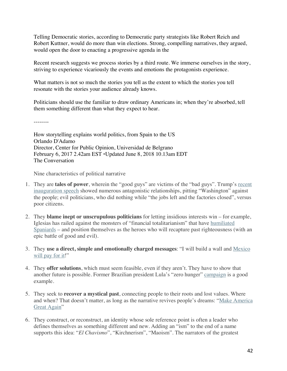Telling Democratic stories, according to Democratic party strategists like Robert Reich and Robert Kuttner, would do more than win elections. Strong, compelling narratives, they argued, would open the door to enacting a progressive agenda in the

Recent research suggests we process stories by a third route. We immerse ourselves in the story, striving to experience vicariously the events and emotions the protagonists experience.

What matters is not so much the stories you tell as the extent to which the stories you tell resonate with the stories your audience already knows.

Politicians should use the familiar to draw ordinary Americans in; when they're absorbed, tell them something different than what they expect to hear.

--------

How storytelling explains world politics, from Spain to the US Orlando D'Adamo Director, Center for Public Opinion, Universidad de Belgrano February 6, 2017 2.42am EST •Updated June 8, 2018 10.13am EDT The Conversation

Nine characteristics of political narrative

- 1. They are **tales of power**, wherein the "good guys" are victims of the "bad guys". Trump's recent inauguration speech showed numerous antagonistic relationships, pitting "Washington" against the people; evil politicians, who did nothing while "the jobs left and the factories closed", versus poor citizens.
- 2. They **blame inept or unscrupulous politicians** for letting insidious interests win for example, Iglesias has railed against the monsters of "financial totalitarianism" that have humiliated Spaniards – and position themselves as the heroes who will recapture past righteousness (with an epic battle of good and evil).
- 3. They **use a direct, simple and emotionally charged messages**: "I will build a wall and Mexico will pay for it!"
- 4. They **offer solutions**, which must seem feasible, even if they aren't. They have to show that another future is possible. Former Brazilian president Lula's "zero hunger" campaign is a good example.
- 5. They seek to **recover a mystical past**, connecting people to their roots and lost values. Where and when? That doesn't matter, as long as the narrative revives people's dreams: "Make America Great Again"
- 6. They construct, or reconstruct, an identity whose sole reference point is often a leader who defines themselves as something different and new. Adding an "ism" to the end of a name supports this idea: "*El Chavismo*", "Kirchnerism", "Maoism". The narrators of the greatest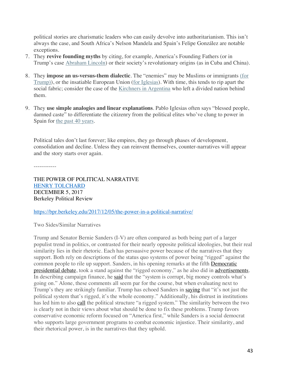political stories are charismatic leaders who can easily devolve into authoritarianism. This isn't always the case, and South Africa's Nelson Mandela and Spain's Felipe González are notable exceptions.

- 7. They **revive founding myths** by citing, for example, America's Founding Fathers (or in Trump's case Abraham Lincoln) or their society's revolutionary origins (as in Cuba and China).
- 8. They **impose an us-versus-them dialectic**. The "enemies" may be Muslims or immigrants (for Trump)), or the insatiable European Union (for Iglesias). With time, this tends to rip apart the social fabric; consider the case of the Kirchners in Argentina who left a divided nation behind them.
- 9. They **use simple analogies and linear explanations**. Pablo Iglesias often says "blessed people, damned caste" to differentiate the citizenry from the political elites who've clung to power in Spain for the past 40 years.

Political tales don't last forever; like empires, they go through phases of development, consolidation and decline. Unless they can reinvent themselves, counter-narratives will appear and the story starts over again.

------------

THE POWER OF POLITICAL NARRATIVE HENRY TOLCHARD DECEMBER 5, 2017 Berkeley Political Review

https://bpr.berkeley.edu/2017/12/05/the-power-in-a-political-narrative/

Two Sides/Similar Narratives

Trump and Senator Bernie Sanders (I-V) are often compared as both being part of a larger populist trend in politics, or contrasted for their nearly opposite political ideologies, but their real similarity lies in their rhetoric. Each has persuasive power because of the narratives that they support. Both rely on descriptions of the status quo systems of power being "rigged" against the common people to rile up support. Sanders, in his opening remarks at the fifth Democratic presidential debate, took a stand against the "rigged economy," as he also did in advertisements. In describing campaign finance, he said that the "system is corrupt, big money controls what's going on." Alone, these comments all seem par for the course, but when evaluating next to Trump's they are strikingly familiar. Trump has echoed Sanders in saying that "it's not just the political system that's rigged, it's the whole economy." Additionally, his distrust in institutions has led him to also call the political structure "a rigged system." The similarity between the two is clearly not in their views about what should be done to fix these problems. Trump favors conservative economic reform focused on "America first," while Sanders is a social democrat who supports large government programs to combat economic injustice. Their similarity, and their rhetorical power, is in the narratives that they uphold.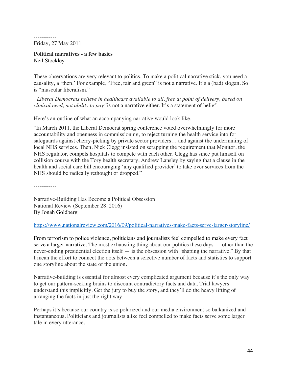------------ Friday, 27 May 2011

**Political narratives - a few basics** Neil Stockley

These observations are very relevant to politics. To make a political narrative stick, you need a causality, a 'then.' For example, "Free, fair and green" is not a narrative. It's a (bad) slogan. So is "muscular liberalism."

*"Liberal Democrats believe in healthcare available to all, free at point of delivery, based on clinical need, not ability to pay"*is not a narrative either. It's a statement of belief.

Here's an outline of what an accompanying narrative would look like.

"In March 2011, the Liberal Democrat spring conference voted overwhelmingly for more accountability and openness in commissioning, to reject turning the health service into for safeguards against cherry-picking by private sector providers… and against the undermining of local NHS services. Then, Nick Clegg insisted on scrapping the requirement that Monitor, the NHS regulator, compels hospitals to compete with each other. Clegg has since put himself on collision course with the Tory health secretary, Andrew Lansley by saying that a clause in the health and social care bill encouraging 'any qualified provider' to take over services from the NHS should be radically rethought or dropped."

------------

Narrative-Building Has Become a Political Obsession National Review (September 28, 2016) By Jonah Goldberg

https://www.nationalreview.com/2016/09/political-narratives-make-facts-serve-larger-storyline/

From terrorism to police violence, politicians and journalists feel compelled to make every fact serve a larger narrative. The most exhausting thing about our politics these days — other than the never-ending presidential election itself — is the obsession with "shaping the narrative." By that I mean the effort to connect the dots between a selective number of facts and statistics to support one storyline about the state of the union.

Narrative-building is essential for almost every complicated argument because it's the only way to get our pattern-seeking brains to discount contradictory facts and data. Trial lawyers understand this implicitly. Get the jury to buy the story, and they'll do the heavy lifting of arranging the facts in just the right way.

Perhaps it's because our country is so polarized and our media environment so balkanized and instantaneous. Politicians and journalists alike feel compelled to make facts serve some larger tale in every utterance.